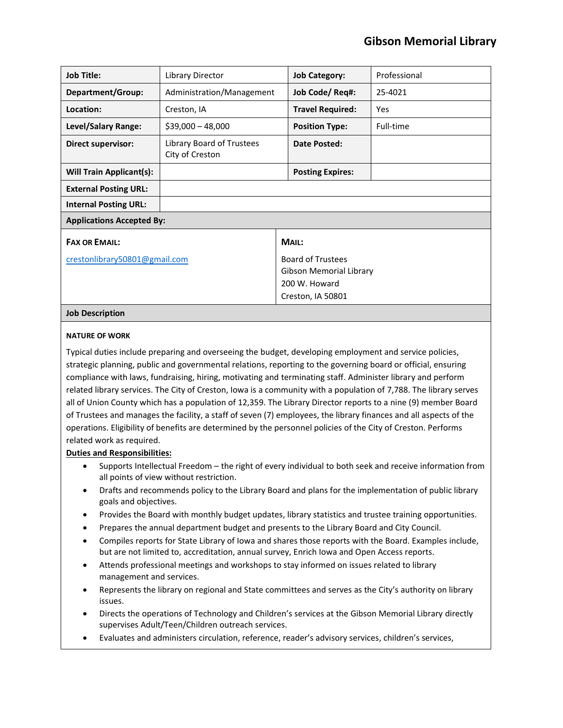# **Gibson Memorial Library**

| <b>Job Title:</b>                | Library Director                             | <b>Job Category:</b>                                | Professional |  |
|----------------------------------|----------------------------------------------|-----------------------------------------------------|--------------|--|
| Department/Group:                | Administration/Management                    | Job Code/ Req#:                                     | 25-4021      |  |
| Location:                        | Creston, IA                                  | <b>Travel Required:</b>                             | Yes          |  |
| <b>Level/Salary Range:</b>       | $$39,000 - 48,000$                           | <b>Position Type:</b>                               | Full-time    |  |
| Direct supervisor:               | Library Board of Trustees<br>City of Creston | Date Posted:                                        |              |  |
| <b>Will Train Applicant(s):</b>  |                                              | <b>Posting Expires:</b>                             |              |  |
| <b>External Posting URL:</b>     |                                              |                                                     |              |  |
| <b>Internal Posting URL:</b>     |                                              |                                                     |              |  |
| <b>Applications Accepted By:</b> |                                              |                                                     |              |  |
| <b>FAX OR EMAIL:</b>             |                                              | MAIL:                                               |              |  |
| crestonlibrary50801@gmail.com    |                                              | <b>Board of Trustees</b><br>Gibson Memorial Library |              |  |
|                                  |                                              | 200 W. Howard                                       |              |  |
|                                  |                                              | Creston, IA 50801                                   |              |  |
| <b>Job Description</b>           |                                              |                                                     |              |  |

#### **NATURE OF WORK**

Typical duties include preparing and overseeing the budget, developing employment and service policies, strategic planning, public and governmental relations, reporting to the governing board or official, ensuring compliance with laws, fundraising, hiring, motivating and terminating staff. Administer library and perform related library services. The City of Creston, Iowa is a community with a population of 7,788. The library serves all of Union County which has a population of 12,359. The Library Director reports to a nine (9) member Board of Trustees and manages the facility, a staff of seven (7) employees, the library finances and all aspects of the operations. Eligibility of benefits are determined by the personnel policies of the City of Creston. Performs related work as required.

#### **Duties and Responsibilities:**

- Supports Intellectual Freedom the right of every individual to both seek and receive information from all points of view without restriction.
- Drafts and recommends policy to the Library Board and plans for the implementation of public library goals and objectives.
- Provides the Board with monthly budget updates, library statistics and trustee training opportunities.
- Prepares the annual department budget and presents to the Library Board and City Council.
- Compiles reports for State Library of Iowa and shares those reports with the Board. Examples include, but are not limited to, accreditation, annual survey, Enrich Iowa and Open Access reports.
- Attends professional meetings and workshops to stay informed on issues related to library management and services.
- Represents the library on regional and State committees and serves as the City's authority on library issues.
- Directs the operations of Technology and Children's services at the Gibson Memorial Library directly supervises Adult/Teen/Children outreach services.
- Evaluates and administers circulation, reference, reader's advisory services, children's services,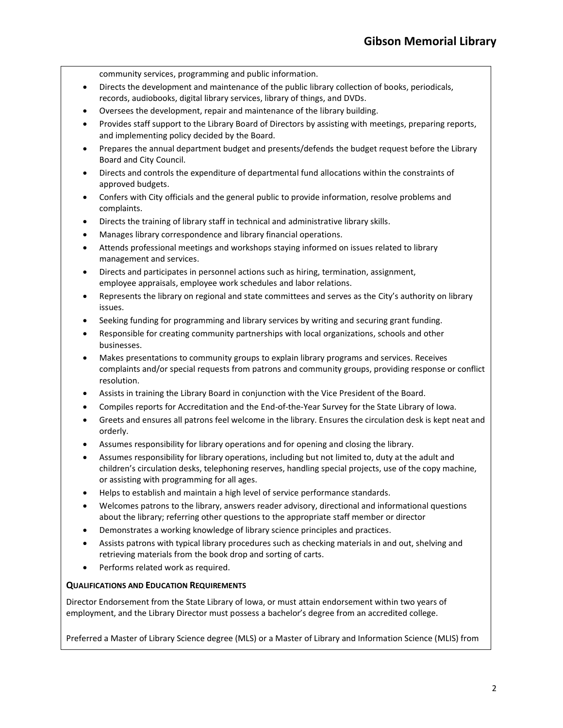community services, programming and public information.

- Directs the development and maintenance of the public library collection of books, periodicals, records, audiobooks, digital library services, library of things, and DVDs.
- Oversees the development, repair and maintenance of the library building.
- Provides staff support to the Library Board of Directors by assisting with meetings, preparing reports, and implementing policy decided by the Board.
- Prepares the annual department budget and presents/defends the budget request before the Library Board and City Council.
- Directs and controls the expenditure of departmental fund allocations within the constraints of approved budgets.
- Confers with City officials and the general public to provide information, resolve problems and complaints.
- Directs the training of library staff in technical and administrative library skills.
- Manages library correspondence and library financial operations.
- Attends professional meetings and workshops staying informed on issues related to library management and services.
- Directs and participates in personnel actions such as hiring, termination, assignment, employee appraisals, employee work schedules and labor relations.
- Represents the library on regional and state committees and serves as the City's authority on library issues.
- Seeking funding for programming and library services by writing and securing grant funding.
- Responsible for creating community partnerships with local organizations, schools and other businesses.
- Makes presentations to community groups to explain library programs and services. Receives complaints and/or special requests from patrons and community groups, providing response or conflict resolution.
- Assists in training the Library Board in conjunction with the Vice President of the Board.
- Compiles reports for Accreditation and the End-of-the-Year Survey for the State Library of Iowa.
- Greets and ensures all patrons feel welcome in the library. Ensures the circulation desk is kept neat and orderly.
- Assumes responsibility for library operations and for opening and closing the library.
- Assumes responsibility for library operations, including but not limited to, duty at the adult and children's circulation desks, telephoning reserves, handling special projects, use of the copy machine, or assisting with programming for all ages.
- Helps to establish and maintain a high level of service performance standards.
- Welcomes patrons to the library, answers reader advisory, directional and informational questions about the library; referring other questions to the appropriate staff member or director
- Demonstrates a working knowledge of library science principles and practices.
- Assists patrons with typical library procedures such as checking materials in and out, shelving and retrieving materials from the book drop and sorting of carts.
- Performs related work as required.

#### **QUALIFICATIONS AND EDUCATION REQUIREMENTS**

Director Endorsement from the State Library of Iowa, or must attain endorsement within two years of employment, and the Library Director must possess a bachelor's degree from an accredited college.

Preferred a Master of Library Science degree (MLS) or a Master of Library and Information Science (MLIS) from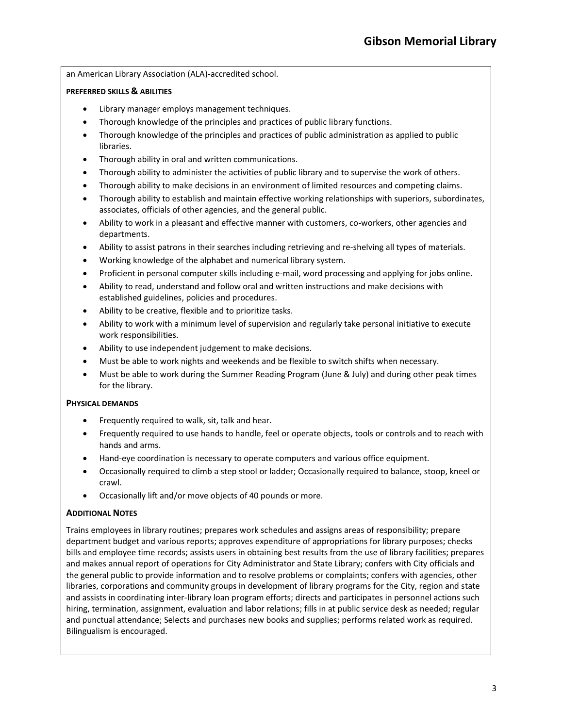an American Library Association (ALA)-accredited school.

### **PREFERRED SKILLS & ABILITIES**

- Library manager employs management techniques.
- Thorough knowledge of the principles and practices of public library functions.
- Thorough knowledge of the principles and practices of public administration as applied to public libraries.
- Thorough ability in oral and written communications.
- Thorough ability to administer the activities of public library and to supervise the work of others.
- Thorough ability to make decisions in an environment of limited resources and competing claims.
- Thorough ability to establish and maintain effective working relationships with superiors, subordinates, associates, officials of other agencies, and the general public.
- Ability to work in a pleasant and effective manner with customers, co-workers, other agencies and departments.
- Ability to assist patrons in their searches including retrieving and re-shelving all types of materials.
- Working knowledge of the alphabet and numerical library system.
- Proficient in personal computer skills including e-mail, word processing and applying for jobs online.
- Ability to read, understand and follow oral and written instructions and make decisions with established guidelines, policies and procedures.
- Ability to be creative, flexible and to prioritize tasks.
- Ability to work with a minimum level of supervision and regularly take personal initiative to execute work responsibilities.
- Ability to use independent judgement to make decisions.
- Must be able to work nights and weekends and be flexible to switch shifts when necessary.
- Must be able to work during the Summer Reading Program (June & July) and during other peak times for the library.

#### **PHYSICAL DEMANDS**

- Frequently required to walk, sit, talk and hear.
- Frequently required to use hands to handle, feel or operate objects, tools or controls and to reach with hands and arms.
- Hand-eye coordination is necessary to operate computers and various office equipment.
- Occasionally required to climb a step stool or ladder; Occasionally required to balance, stoop, kneel or crawl.
- Occasionally lift and/or move objects of 40 pounds or more.

## **ADDITIONAL NOTES**

Trains employees in library routines; prepares work schedules and assigns areas of responsibility; prepare department budget and various reports; approves expenditure of appropriations for library purposes; checks bills and employee time records; assists users in obtaining best results from the use of library facilities; prepares and makes annual report of operations for City Administrator and State Library; confers with City officials and the general public to provide information and to resolve problems or complaints; confers with agencies, other libraries, corporations and community groups in development of library programs for the City, region and state and assists in coordinating inter-library loan program efforts; directs and participates in personnel actions such hiring, termination, assignment, evaluation and labor relations; fills in at public service desk as needed; regular and punctual attendance; Selects and purchases new books and supplies; performs related work as required. Bilingualism is encouraged.